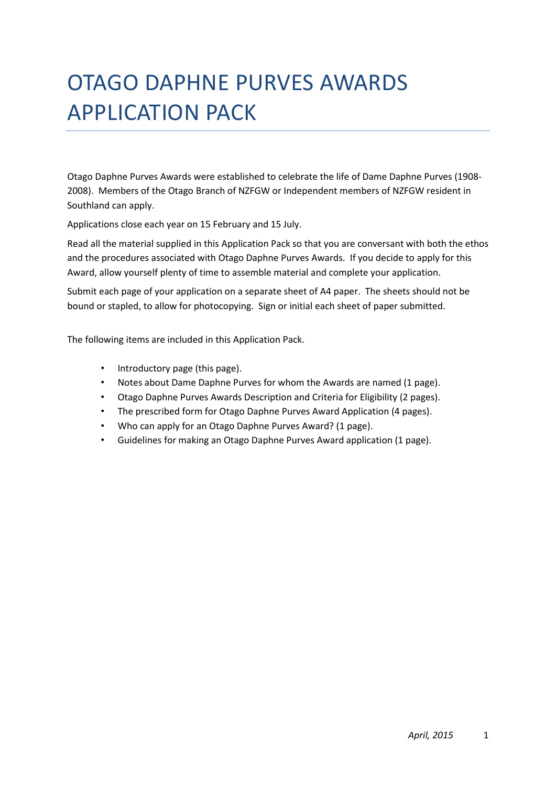# OTAGO DAPHNE PURVES AWARDS APPLICATION PACK

Otago Daphne Purves Awards were established to celebrate the life of Dame Daphne Purves (1908- 2008). Members of the Otago Branch of NZFGW or Independent members of NZFGW resident in Southland can apply.

Applications close each year on 15 February and 15 July.

Read all the material supplied in this Application Pack so that you are conversant with both the ethos and the procedures associated with Otago Daphne Purves Awards. If you decide to apply for this Award, allow yourself plenty of time to assemble material and complete your application.

Submit each page of your application on a separate sheet of A4 paper. The sheets should not be bound or stapled, to allow for photocopying. Sign or initial each sheet of paper submitted.

The following items are included in this Application Pack.

- Introductory page (this page).
- Notes about Dame Daphne Purves for whom the Awards are named (1 page).
- Otago Daphne Purves Awards Description and Criteria for Eligibility (2 pages).
- The prescribed form for Otago Daphne Purves Award Application (4 pages).
- Who can apply for an Otago Daphne Purves Award? (1 page).
- Guidelines for making an Otago Daphne Purves Award application (1 page).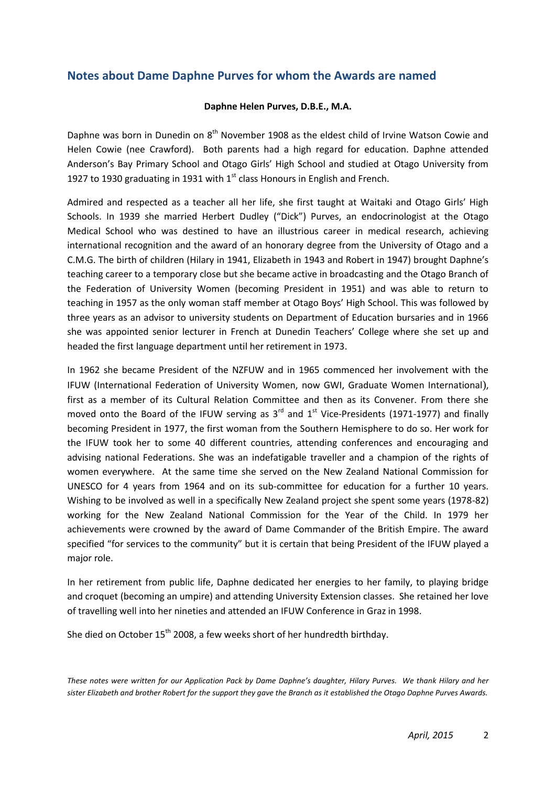## **Notes about Dame Daphne Purves for whom the Awards are named**

#### **Daphne Helen Purves, D.B.E., M.A.**

Daphne was born in Dunedin on 8<sup>th</sup> November 1908 as the eldest child of Irvine Watson Cowie and Helen Cowie (nee Crawford). Both parents had a high regard for education. Daphne attended Anderson's Bay Primary School and Otago Girls' High School and studied at Otago University from 1927 to 1930 graduating in 1931 with  $1<sup>st</sup>$  class Honours in English and French.

Admired and respected as a teacher all her life, she first taught at Waitaki and Otago Girls' High Schools. In 1939 she married Herbert Dudley ("Dick") Purves, an endocrinologist at the Otago Medical School who was destined to have an illustrious career in medical research, achieving international recognition and the award of an honorary degree from the University of Otago and a C.M.G. The birth of children (Hilary in 1941, Elizabeth in 1943 and Robert in 1947) brought Daphne's teaching career to a temporary close but she became active in broadcasting and the Otago Branch of the Federation of University Women (becoming President in 1951) and was able to return to teaching in 1957 as the only woman staff member at Otago Boys' High School. This was followed by three years as an advisor to university students on Department of Education bursaries and in 1966 she was appointed senior lecturer in French at Dunedin Teachers' College where she set up and headed the first language department until her retirement in 1973.

In 1962 she became President of the NZFUW and in 1965 commenced her involvement with the IFUW (International Federation of University Women, now GWI, Graduate Women International), first as a member of its Cultural Relation Committee and then as its Convener. From there she moved onto the Board of the IFUW serving as  $3<sup>rd</sup>$  and  $1<sup>st</sup>$  Vice-Presidents (1971-1977) and finally becoming President in 1977, the first woman from the Southern Hemisphere to do so. Her work for the IFUW took her to some 40 different countries, attending conferences and encouraging and advising national Federations. She was an indefatigable traveller and a champion of the rights of women everywhere. At the same time she served on the New Zealand National Commission for UNESCO for 4 years from 1964 and on its sub-committee for education for a further 10 years. Wishing to be involved as well in a specifically New Zealand project she spent some years (1978-82) working for the New Zealand National Commission for the Year of the Child. In 1979 her achievements were crowned by the award of Dame Commander of the British Empire. The award specified "for services to the community" but it is certain that being President of the IFUW played a major role.

In her retirement from public life, Daphne dedicated her energies to her family, to playing bridge and croquet (becoming an umpire) and attending University Extension classes. She retained her love of travelling well into her nineties and attended an IFUW Conference in Graz in 1998.

She died on October 15<sup>th</sup> 2008, a few weeks short of her hundredth birthday.

*These notes were written for our Application Pack by Dame Daphne's daughter, Hilary Purves. We thank Hilary and her sister Elizabeth and brother Robert for the support they gave the Branch as it established the Otago Daphne Purves Awards.*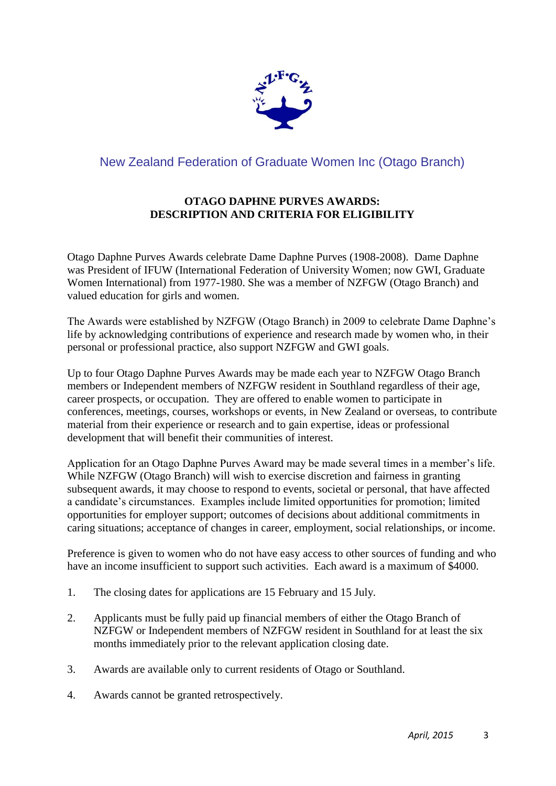

# New Zealand Federation of Graduate Women Inc (Otago Branch)

## **OTAGO DAPHNE PURVES AWARDS: DESCRIPTION AND CRITERIA FOR ELIGIBILITY**

Otago Daphne Purves Awards celebrate Dame Daphne Purves (1908-2008). Dame Daphne was President of IFUW (International Federation of University Women; now GWI, Graduate Women International) from 1977-1980. She was a member of NZFGW (Otago Branch) and valued education for girls and women.

The Awards were established by NZFGW (Otago Branch) in 2009 to celebrate Dame Daphne's life by acknowledging contributions of experience and research made by women who, in their personal or professional practice, also support NZFGW and GWI goals.

Up to four Otago Daphne Purves Awards may be made each year to NZFGW Otago Branch members or Independent members of NZFGW resident in Southland regardless of their age, career prospects, or occupation. They are offered to enable women to participate in conferences, meetings, courses, workshops or events, in New Zealand or overseas, to contribute material from their experience or research and to gain expertise, ideas or professional development that will benefit their communities of interest.

Application for an Otago Daphne Purves Award may be made several times in a member's life. While NZFGW (Otago Branch) will wish to exercise discretion and fairness in granting subsequent awards, it may choose to respond to events, societal or personal, that have affected a candidate's circumstances. Examples include limited opportunities for promotion; limited opportunities for employer support; outcomes of decisions about additional commitments in caring situations; acceptance of changes in career, employment, social relationships, or income.

Preference is given to women who do not have easy access to other sources of funding and who have an income insufficient to support such activities. Each award is a maximum of \$4000.

- 1. The closing dates for applications are 15 February and 15 July.
- 2. Applicants must be fully paid up financial members of either the Otago Branch of NZFGW or Independent members of NZFGW resident in Southland for at least the six months immediately prior to the relevant application closing date.
- 3. Awards are available only to current residents of Otago or Southland.
- 4. Awards cannot be granted retrospectively.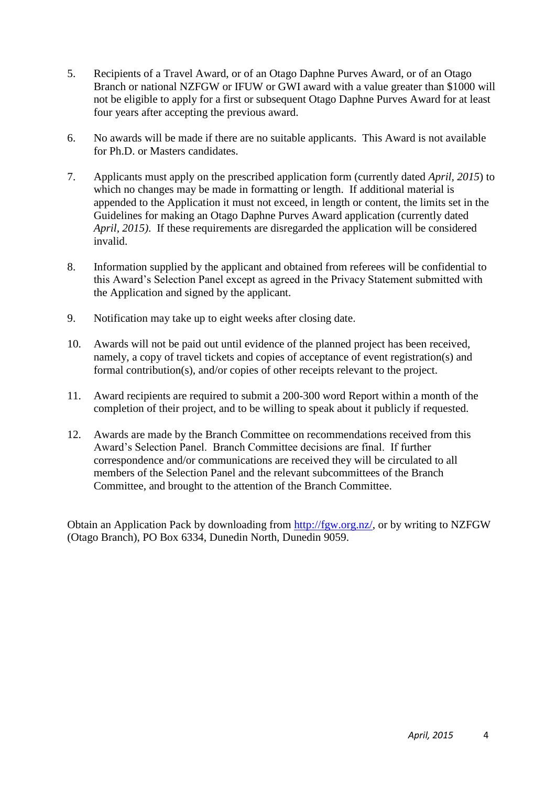- 5. Recipients of a Travel Award, or of an Otago Daphne Purves Award, or of an Otago Branch or national NZFGW or IFUW or GWI award with a value greater than \$1000 will not be eligible to apply for a first or subsequent Otago Daphne Purves Award for at least four years after accepting the previous award.
- 6. No awards will be made if there are no suitable applicants. This Award is not available for Ph.D. or Masters candidates.
- 7. Applicants must apply on the prescribed application form (currently dated *April, 2015*) to which no changes may be made in formatting or length. If additional material is appended to the Application it must not exceed, in length or content, the limits set in the Guidelines for making an Otago Daphne Purves Award application (currently dated *April, 2015)*. If these requirements are disregarded the application will be considered invalid.
- 8. Information supplied by the applicant and obtained from referees will be confidential to this Award's Selection Panel except as agreed in the Privacy Statement submitted with the Application and signed by the applicant.
- 9. Notification may take up to eight weeks after closing date.
- 10. Awards will not be paid out until evidence of the planned project has been received, namely, a copy of travel tickets and copies of acceptance of event registration(s) and formal contribution(s), and/or copies of other receipts relevant to the project.
- 11. Award recipients are required to submit a 200-300 word Report within a month of the completion of their project, and to be willing to speak about it publicly if requested.
- 12. Awards are made by the Branch Committee on recommendations received from this Award's Selection Panel. Branch Committee decisions are final. If further correspondence and/or communications are received they will be circulated to all members of the Selection Panel and the relevant subcommittees of the Branch Committee, and brought to the attention of the Branch Committee.

Obtain an Application Pack by downloading from [http://fgw.org.nz/,](http://fgw.org.nz/) or by writing to NZFGW (Otago Branch), PO Box 6334, Dunedin North, Dunedin 9059.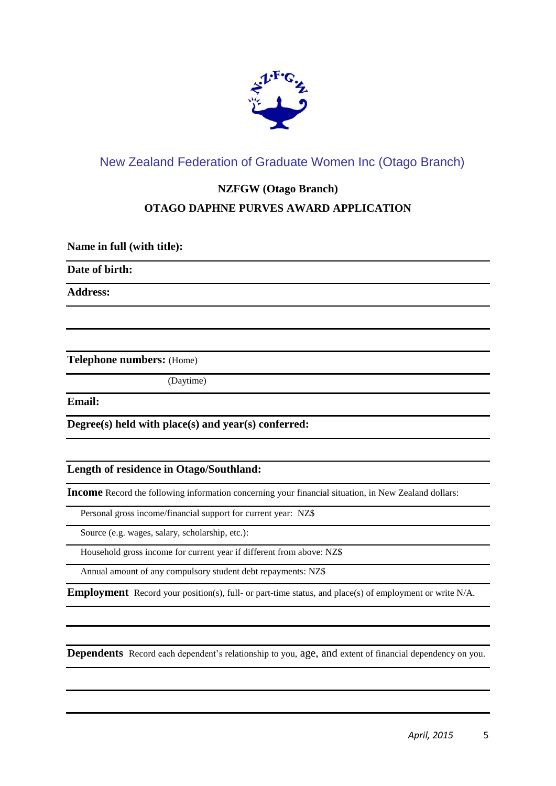

# New Zealand Federation of Graduate Women Inc (Otago Branch)

## **NZFGW (Otago Branch)**

## **OTAGO DAPHNE PURVES AWARD APPLICATION**

**Name in full (with title):**

**Date of birth:** 

**Address:**

**Telephone numbers:** (Home)

(Daytime)

**Email:**

**Degree(s) held with place(s) and year(s) conferred:**

#### **Length of residence in Otago/Southland:**

**Income** Record the following information concerning your financial situation, in New Zealand dollars:

Personal gross income/financial support for current year: NZ\$

Source (e.g. wages, salary, scholarship, etc.):

Household gross income for current year if different from above: NZ\$

Annual amount of any compulsory student debt repayments: NZ\$

**Employment** Record your position(s), full- or part-time status, and place(s) of employment or write N/A.

**Dependents** Record each dependent's relationship to you, age, and extent of financial dependency on you.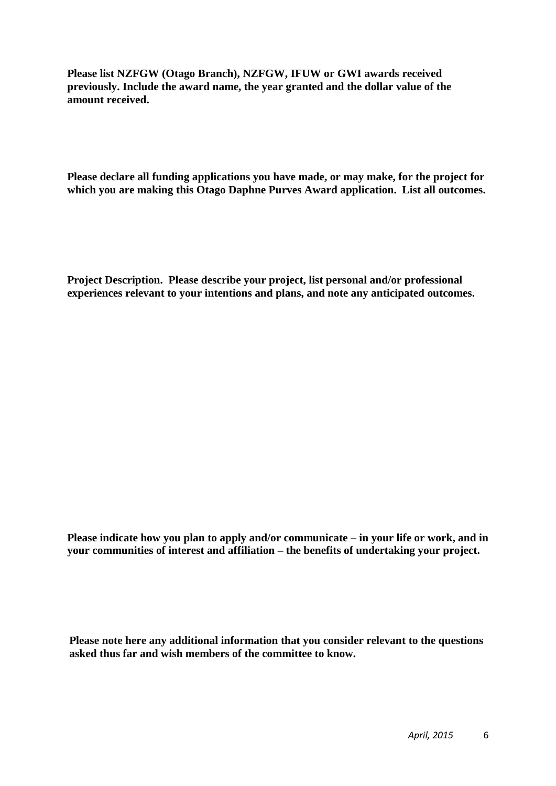**Please list NZFGW (Otago Branch), NZFGW, IFUW or GWI awards received previously. Include the award name, the year granted and the dollar value of the amount received.** 

**Please declare all funding applications you have made, or may make, for the project for which you are making this Otago Daphne Purves Award application. List all outcomes.**

**Project Description. Please describe your project, list personal and/or professional experiences relevant to your intentions and plans, and note any anticipated outcomes.**

**Please indicate how you plan to apply and/or communicate – in your life or work, and in your communities of interest and affiliation – the benefits of undertaking your project.** 

**Please note here any additional information that you consider relevant to the questions asked thus far and wish members of the committee to know.**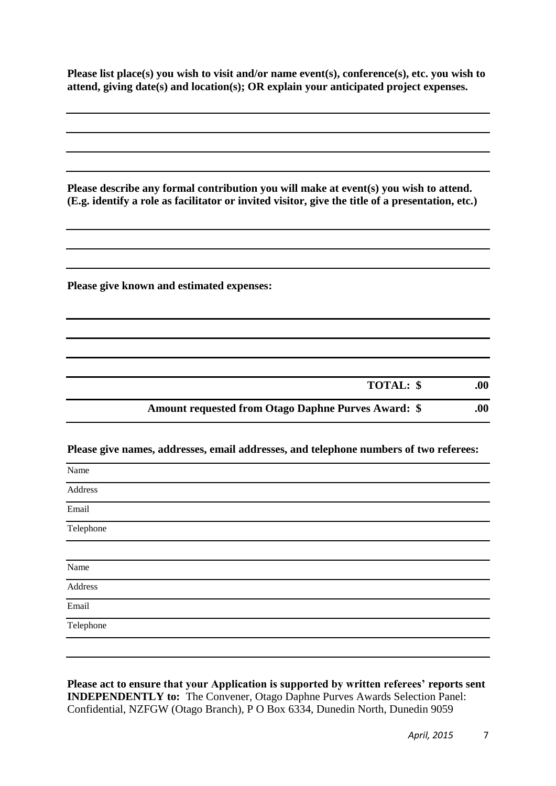**Please list place(s) you wish to visit and/or name event(s), conference(s), etc. you wish to attend, giving date(s) and location(s); OR explain your anticipated project expenses.**

| Please describe any formal contribution you will make at event(s) you wish to attend.<br>(E.g. identify a role as facilitator or invited visitor, give the title of a presentation, etc.) |
|-------------------------------------------------------------------------------------------------------------------------------------------------------------------------------------------|
|                                                                                                                                                                                           |
| Please give known and estimated expenses:                                                                                                                                                 |
|                                                                                                                                                                                           |
|                                                                                                                                                                                           |
| TOTAL: \$<br>.00.                                                                                                                                                                         |
| <b>Amount requested from Otago Daphne Purves Award: \$</b><br>.00.                                                                                                                        |
| Please give names, addresses, email addresses, and telephone numbers of two referees:                                                                                                     |
| Name                                                                                                                                                                                      |
| Address                                                                                                                                                                                   |
| Email                                                                                                                                                                                     |
| Telephone                                                                                                                                                                                 |
| Name                                                                                                                                                                                      |
| Address                                                                                                                                                                                   |
| Email                                                                                                                                                                                     |
| Telephone                                                                                                                                                                                 |

**Please act to ensure that your Application is supported by written referees' reports sent INDEPENDENTLY to:** The Convener, Otago Daphne Purves Awards Selection Panel: Confidential, NZFGW (Otago Branch), P O Box 6334, Dunedin North, Dunedin 9059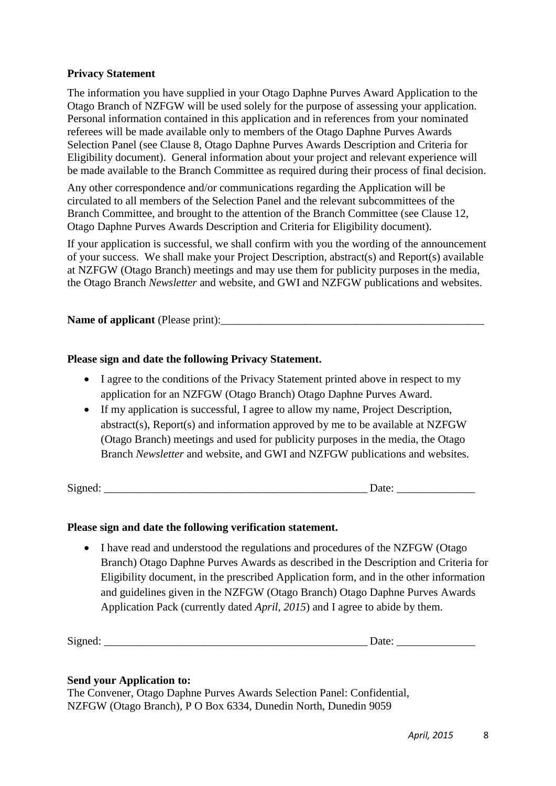#### **Privacy Statement**

The information you have supplied in your Otago Daphne Purves Award Application to the Otago Branch of NZFGW will be used solely for the purpose of assessing your application. Personal information contained in this application and in references from your nominated referees will be made available only to members of the Otago Daphne Purves Awards Selection Panel (see Clause 8, Otago Daphne Purves Awards Description and Criteria for Eligibility document). General information about your project and relevant experience will be made available to the Branch Committee as required during their process of final decision.

Any other correspondence and/or communications regarding the Application will be circulated to all members of the Selection Panel and the relevant subcommittees of the Branch Committee, and brought to the attention of the Branch Committee (see Clause 12, Otago Daphne Purves Awards Description and Criteria for Eligibility document).

If your application is successful, we shall confirm with you the wording of the announcement of your success. We shall make your Project Description, abstract(s) and Report(s) available at NZFGW (Otago Branch) meetings and may use them for publicity purposes in the media, the Otago Branch *Newsletter* and website, and GWI and NZFGW publications and websites.

## **Name of applicant** (Please print):

#### **Please sign and date the following Privacy Statement.**

- I agree to the conditions of the Privacy Statement printed above in respect to my application for an NZFGW (Otago Branch) Otago Daphne Purves Award.
- If my application is successful, I agree to allow my name, Project Description, abstract(s), Report(s) and information approved by me to be available at NZFGW (Otago Branch) meetings and used for publicity purposes in the media, the Otago Branch *Newsletter* and website, and GWI and NZFGW publications and websites.

Signed:  $\Box$ 

#### **Please sign and date the following verification statement.**

 I have read and understood the regulations and procedures of the NZFGW (Otago Branch) Otago Daphne Purves Awards as described in the Description and Criteria for Eligibility document, in the prescribed Application form, and in the other information and guidelines given in the NZFGW (Otago Branch) Otago Daphne Purves Awards Application Pack (currently dated *April, 2015*) and I agree to abide by them.

| $\sim$<br>$\sim$<br>Signed: | uw. |  |
|-----------------------------|-----|--|
|                             |     |  |

#### **Send your Application to:**

The Convener, Otago Daphne Purves Awards Selection Panel: Confidential, NZFGW (Otago Branch), P O Box 6334, Dunedin North, Dunedin 9059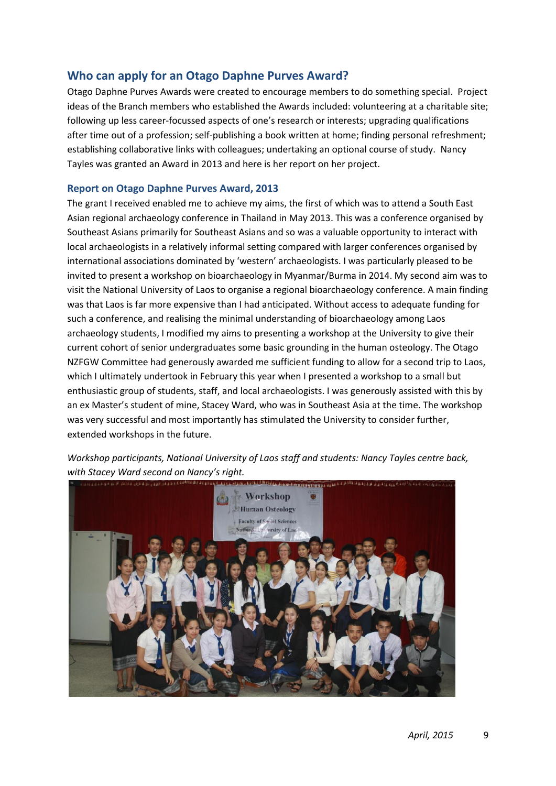## **Who can apply for an Otago Daphne Purves Award?**

Otago Daphne Purves Awards were created to encourage members to do something special. Project ideas of the Branch members who established the Awards included: volunteering at a charitable site; following up less career-focussed aspects of one's research or interests; upgrading qualifications after time out of a profession; self-publishing a book written at home; finding personal refreshment; establishing collaborative links with colleagues; undertaking an optional course of study. Nancy Tayles was granted an Award in 2013 and here is her report on her project.

#### **Report on Otago Daphne Purves Award, 2013**

The grant I received enabled me to achieve my aims, the first of which was to attend a South East Asian regional archaeology conference in Thailand in May 2013. This was a conference organised by Southeast Asians primarily for Southeast Asians and so was a valuable opportunity to interact with local archaeologists in a relatively informal setting compared with larger conferences organised by international associations dominated by 'western' archaeologists. I was particularly pleased to be invited to present a workshop on bioarchaeology in Myanmar/Burma in 2014. My second aim was to visit the National University of Laos to organise a regional bioarchaeology conference. A main finding was that Laos is far more expensive than I had anticipated. Without access to adequate funding for such a conference, and realising the minimal understanding of bioarchaeology among Laos archaeology students, I modified my aims to presenting a workshop at the University to give their current cohort of senior undergraduates some basic grounding in the human osteology. The Otago NZFGW Committee had generously awarded me sufficient funding to allow for a second trip to Laos, which I ultimately undertook in February this year when I presented a workshop to a small but enthusiastic group of students, staff, and local archaeologists. I was generously assisted with this by an ex Master's student of mine, Stacey Ward, who was in Southeast Asia at the time. The workshop was very successful and most importantly has stimulated the University to consider further, extended workshops in the future.

*Workshop participants, National University of Laos staff and students: Nancy Tayles centre back, with Stacey Ward second on Nancy's right.*